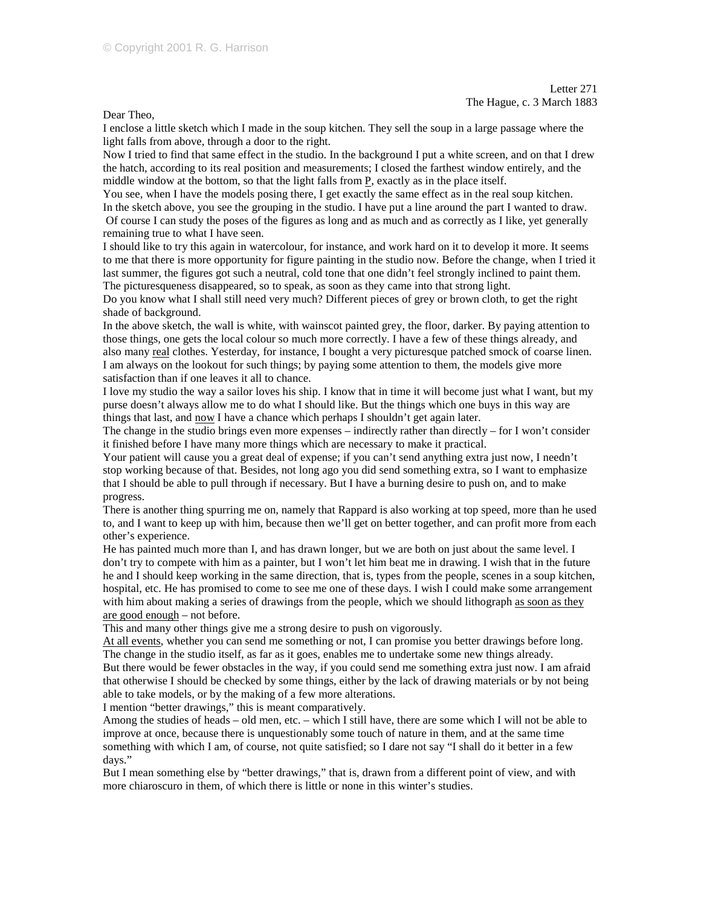Dear Theo,

I enclose a little sketch which I made in the soup kitchen. They sell the soup in a large passage where the light falls from above, through a door to the right.

Now I tried to find that same effect in the studio. In the background I put a white screen, and on that I drew the hatch, according to its real position and measurements; I closed the farthest window entirely, and the middle window at the bottom, so that the light falls from  $P$ , exactly as in the place itself.

You see, when I have the models posing there, I get exactly the same effect as in the real soup kitchen. In the sketch above, you see the grouping in the studio. I have put a line around the part I wanted to draw. Of course I can study the poses of the figures as long and as much and as correctly as I like, yet generally remaining true to what I have seen.

I should like to try this again in watercolour, for instance, and work hard on it to develop it more. It seems to me that there is more opportunity for figure painting in the studio now. Before the change, when I tried it last summer, the figures got such a neutral, cold tone that one didn't feel strongly inclined to paint them. The picturesqueness disappeared, so to speak, as soon as they came into that strong light.

Do you know what I shall still need very much? Different pieces of grey or brown cloth, to get the right shade of background.

In the above sketch, the wall is white, with wainscot painted grey, the floor, darker. By paying attention to those things, one gets the local colour so much more correctly. I have a few of these things already, and also many real clothes. Yesterday, for instance, I bought a very picturesque patched smock of coarse linen. I am always on the lookout for such things; by paying some attention to them, the models give more satisfaction than if one leaves it all to chance.

I love my studio the way a sailor loves his ship. I know that in time it will become just what I want, but my purse doesn't always allow me to do what I should like. But the things which one buys in this way are things that last, and now I have a chance which perhaps I shouldn't get again later.

The change in the studio brings even more expenses – indirectly rather than directly – for I won't consider it finished before I have many more things which are necessary to make it practical.

Your patient will cause you a great deal of expense; if you can't send anything extra just now, I needn't stop working because of that. Besides, not long ago you did send something extra, so I want to emphasize that I should be able to pull through if necessary. But I have a burning desire to push on, and to make progress.

There is another thing spurring me on, namely that Rappard is also working at top speed, more than he used to, and I want to keep up with him, because then we'll get on better together, and can profit more from each other's experience.

He has painted much more than I, and has drawn longer, but we are both on just about the same level. I don't try to compete with him as a painter, but I won't let him beat me in drawing. I wish that in the future he and I should keep working in the same direction, that is, types from the people, scenes in a soup kitchen, hospital, etc. He has promised to come to see me one of these days. I wish I could make some arrangement with him about making a series of drawings from the people, which we should lithograph as soon as they are good enough – not before.

This and many other things give me a strong desire to push on vigorously.

At all events, whether you can send me something or not, I can promise you better drawings before long. The change in the studio itself, as far as it goes, enables me to undertake some new things already. But there would be fewer obstacles in the way, if you could send me something extra just now. I am afraid that otherwise I should be checked by some things, either by the lack of drawing materials or by not being

able to take models, or by the making of a few more alterations. I mention "better drawings," this is meant comparatively.

Among the studies of heads – old men, etc. – which I still have, there are some which I will not be able to improve at once, because there is unquestionably some touch of nature in them, and at the same time something with which I am, of course, not quite satisfied; so I dare not say "I shall do it better in a few days."

But I mean something else by "better drawings," that is, drawn from a different point of view, and with more chiaroscuro in them, of which there is little or none in this winter's studies.